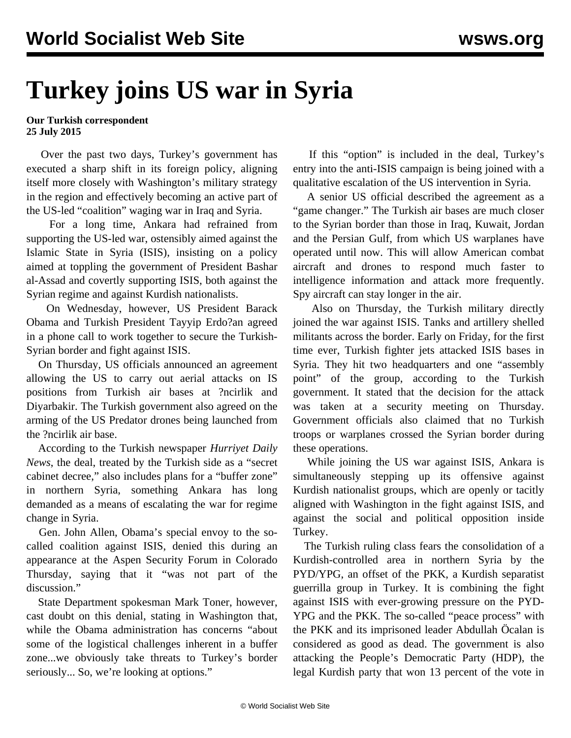## **Turkey joins US war in Syria**

## **Our Turkish correspondent 25 July 2015**

 Over the past two days, Turkey's government has executed a sharp shift in its foreign policy, aligning itself more closely with Washington's military strategy in the region and effectively becoming an active part of the US-led "coalition" waging war in Iraq and Syria.

 For a long time, Ankara had refrained from supporting the US-led war, ostensibly aimed against the Islamic State in Syria (ISIS), insisting on a policy aimed at toppling the government of President Bashar al-Assad and covertly supporting ISIS, both against the Syrian regime and against Kurdish nationalists.

 On Wednesday, however, US President Barack Obama and Turkish President Tayyip Erdo?an agreed in a phone call to work together to secure the Turkish-Syrian border and fight against ISIS.

 On Thursday, US officials announced an agreement allowing the US to carry out aerial attacks on IS positions from Turkish air bases at ?ncirlik and Diyarbakir. The Turkish government also agreed on the arming of the US Predator drones being launched from the ?ncirlik air base.

 According to the Turkish newspaper *Hurriyet Daily News*, the deal, treated by the Turkish side as a "secret cabinet decree," also includes plans for a "buffer zone" in northern Syria, something Ankara has long demanded as a means of escalating the war for regime change in Syria.

 Gen. John Allen, Obama's special envoy to the socalled coalition against ISIS, denied this during an appearance at the Aspen Security Forum in Colorado Thursday, saying that it "was not part of the discussion."

 State Department spokesman Mark Toner, however, cast doubt on this denial, stating in Washington that, while the Obama administration has concerns "about some of the logistical challenges inherent in a buffer zone...we obviously take threats to Turkey's border seriously... So, we're looking at options."

 If this "option" is included in the deal, Turkey's entry into the anti-ISIS campaign is being joined with a qualitative escalation of the US intervention in Syria.

 A senior US official described the agreement as a "game changer." The Turkish air bases are much closer to the Syrian border than those in Iraq, Kuwait, Jordan and the Persian Gulf, from which US warplanes have operated until now. This will allow American combat aircraft and drones to respond much faster to intelligence information and attack more frequently. Spy aircraft can stay longer in the air.

 Also on Thursday, the Turkish military directly joined the war against ISIS. Tanks and artillery shelled militants across the border. Early on Friday, for the first time ever, Turkish fighter jets attacked ISIS bases in Syria. They hit two headquarters and one "assembly point" of the group, according to the Turkish government. It stated that the decision for the attack was taken at a security meeting on Thursday. Government officials also claimed that no Turkish troops or warplanes crossed the Syrian border during these operations.

 While joining the US war against ISIS, Ankara is simultaneously stepping up its offensive against Kurdish nationalist groups, which are openly or tacitly aligned with Washington in the fight against ISIS, and against the social and political opposition inside Turkey.

 The Turkish ruling class fears the consolidation of a Kurdish-controlled area in northern Syria by the PYD/YPG, an offset of the PKK, a Kurdish separatist guerrilla group in Turkey. It is combining the fight against ISIS with ever-growing pressure on the PYD-YPG and the PKK. The so-called "peace process" with the PKK and its imprisoned leader Abdullah Öcalan is considered as good as dead. The government is also attacking the People's Democratic Party (HDP), the legal Kurdish party that won 13 percent of the vote in